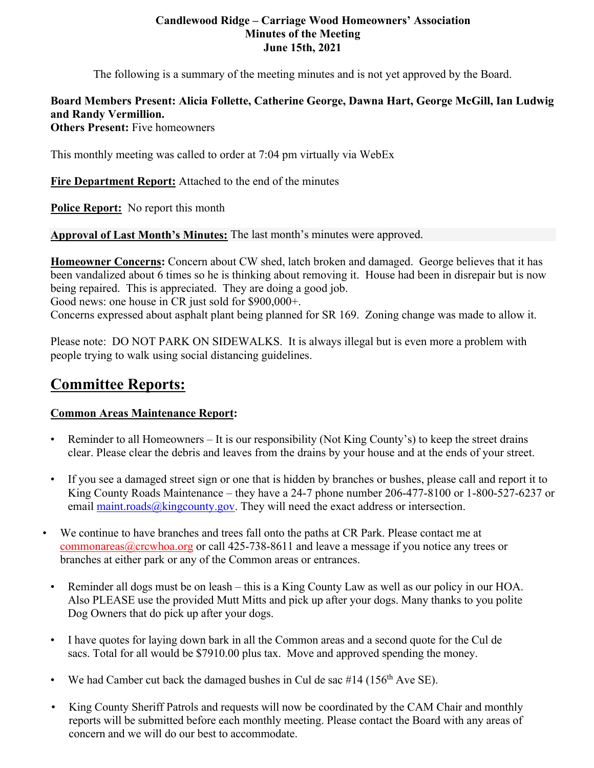#### **Candlewood Ridge – Carriage Wood Homeowners' Association Minutes of the Meeting June 15th, 2021**

The following is a summary of the meeting minutes and is not yet approved by the Board.

# **Board Members Present: Alicia Follette, Catherine George, Dawna Hart, George McGill, Ian Ludwig and Randy Vermillion.**

**Others Present:** Five homeowners

This monthly meeting was called to order at 7:04 pm virtually via WebEx

**Fire Department Report:** Attached to the end of the minutes

**Police Report:** No report this month

**Approval of Last Month's Minutes:** The last month's minutes were approved.

**Homeowner Concerns:** Concern about CW shed, latch broken and damaged. George believes that it has been vandalized about 6 times so he is thinking about removing it. House had been in disrepair but is now being repaired. This is appreciated. They are doing a good job. Good news: one house in CR just sold for \$900,000+. Concerns expressed about asphalt plant being planned for SR 169. Zoning change was made to allow it.

Please note: DO NOT PARK ON SIDEWALKS. It is always illegal but is even more a problem with people trying to walk using social distancing guidelines.

# **Committee Reports:**

# **Common Areas Maintenance Report:**

- Reminder to all Homeowners It is our responsibility (Not King County's) to keep the street drains clear. Please clear the debris and leaves from the drains by your house and at the ends of your street.
- If you see a damaged street sign or one that is hidden by branches or bushes, please call and report it to King County Roads Maintenance – they have a 24-7 phone number 206-477-8100 or 1-800-527-6237 or email maint.roads@kingcounty.gov. They will need the exact address or intersection.
- We continue to have branches and trees fall onto the paths at CR Park. Please contact me at commonareas@crcwhoa.org or call 425-738-8611 and leave a message if you notice any trees or branches at either park or any of the Common areas or entrances.
	- Reminder all dogs must be on leash this is a King County Law as well as our policy in our HOA. Also PLEASE use the provided Mutt Mitts and pick up after your dogs. Many thanks to you polite Dog Owners that do pick up after your dogs.
	- I have quotes for laying down bark in all the Common areas and a second quote for the Cul de sacs. Total for all would be \$7910.00 plus tax. Move and approved spending the money.
- We had Camber cut back the damaged bushes in Cul de sac  $#14$  (156<sup>th</sup> Ave SE).
- King County Sheriff Patrols and requests will now be coordinated by the CAM Chair and monthly reports will be submitted before each monthly meeting. Please contact the Board with any areas of concern and we will do our best to accommodate.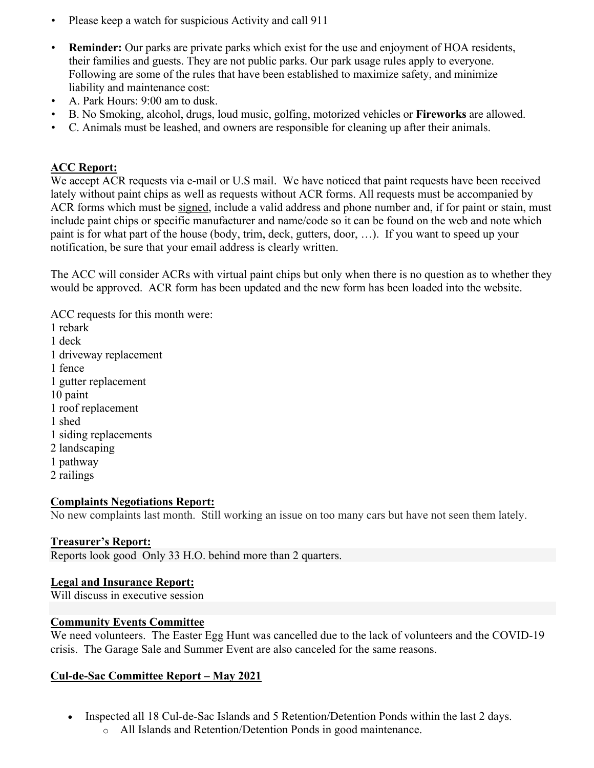- Please keep a watch for suspicious Activity and call 911
- **Reminder:** Our parks are private parks which exist for the use and enjoyment of HOA residents, their families and guests. They are not public parks. Our park usage rules apply to everyone. Following are some of the rules that have been established to maximize safety, and minimize liability and maintenance cost:
- A. Park Hours: 9:00 am to dusk.
- B. No Smoking, alcohol, drugs, loud music, golfing, motorized vehicles or **Fireworks** are allowed.
- C. Animals must be leashed, and owners are responsible for cleaning up after their animals.

## **ACC Report:**

We accept ACR requests via e-mail or U.S mail. We have noticed that paint requests have been received lately without paint chips as well as requests without ACR forms. All requests must be accompanied by ACR forms which must be signed, include a valid address and phone number and, if for paint or stain, must include paint chips or specific manufacturer and name/code so it can be found on the web and note which paint is for what part of the house (body, trim, deck, gutters, door, …). If you want to speed up your notification, be sure that your email address is clearly written.

The ACC will consider ACRs with virtual paint chips but only when there is no question as to whether they would be approved. ACR form has been updated and the new form has been loaded into the website.

ACC requests for this month were: 1 rebark 1 deck 1 driveway replacement 1 fence 1 gutter replacement 10 paint 1 roof replacement 1 shed 1 siding replacements 2 landscaping 1 pathway 2 railings

#### **Complaints Negotiations Report:**

No new complaints last month. Still working an issue on too many cars but have not seen them lately.

#### **Treasurer's Report:**

Reports look good Only 33 H.O. behind more than 2 quarters.

#### **Legal and Insurance Report:**

Will discuss in executive session

#### **Community Events Committee**

We need volunteers. The Easter Egg Hunt was cancelled due to the lack of volunteers and the COVID-19 crisis. The Garage Sale and Summer Event are also canceled for the same reasons.

#### **Cul-de-Sac Committee Report – May 2021**

- Inspected all 18 Cul-de-Sac Islands and 5 Retention/Detention Ponds within the last 2 days.
	- o All Islands and Retention/Detention Ponds in good maintenance.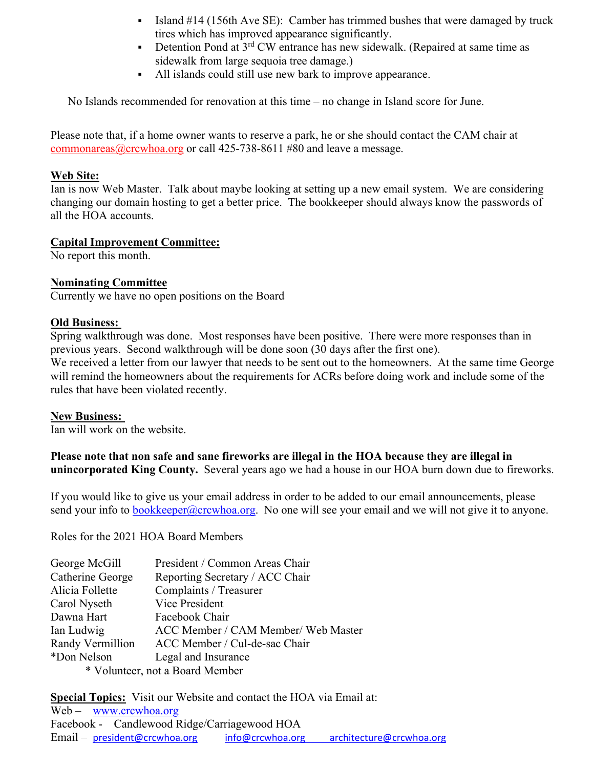- Island #14 (156th Ave SE): Camber has trimmed bushes that were damaged by truck tires which has improved appearance significantly.
- Detention Pond at  $3<sup>rd</sup>$  CW entrance has new sidewalk. (Repaired at same time as sidewalk from large sequoia tree damage.)
- All islands could still use new bark to improve appearance.

No Islands recommended for renovation at this time – no change in Island score for June.

Please note that, if a home owner wants to reserve a park, he or she should contact the CAM chair at commonareas@crcwhoa.org or call 425-738-8611 #80 and leave a message.

#### **Web Site:**

Ian is now Web Master. Talk about maybe looking at setting up a new email system. We are considering changing our domain hosting to get a better price. The bookkeeper should always know the passwords of all the HOA accounts.

#### **Capital Improvement Committee:**

No report this month.

#### **Nominating Committee**

Currently we have no open positions on the Board

#### **Old Business:**

Spring walkthrough was done. Most responses have been positive. There were more responses than in previous years. Second walkthrough will be done soon (30 days after the first one). We received a letter from our lawyer that needs to be sent out to the homeowners. At the same time George will remind the homeowners about the requirements for ACRs before doing work and include some of the rules that have been violated recently.

#### **New Business:**

Ian will work on the website.

**Please note that non safe and sane fireworks are illegal in the HOA because they are illegal in unincorporated King County.** Several years ago we had a house in our HOA burn down due to fireworks.

If you would like to give us your email address in order to be added to our email announcements, please send your info to bookkeeper@crcwhoa.org. No one will see your email and we will not give it to anyone.

Roles for the 2021 HOA Board Members

| George McGill                   | President / Common Areas Chair      |
|---------------------------------|-------------------------------------|
| Catherine George                | Reporting Secretary / ACC Chair     |
| Alicia Follette                 | Complaints / Treasurer              |
| Carol Nyseth                    | Vice President                      |
| Dawna Hart                      | Facebook Chair                      |
| Ian Ludwig                      | ACC Member / CAM Member/ Web Master |
| Randy Vermillion                | ACC Member / Cul-de-sac Chair       |
| *Don Nelson                     | Legal and Insurance                 |
| * Volunteer, not a Board Member |                                     |

**Special Topics:** Visit our Website and contact the HOA via Email at: Web – www.crcwhoa.org Facebook - Candlewood Ridge/Carriagewood HOA Email – president@crcwhoa.org info@crcwhoa.org architecture@crcwhoa.org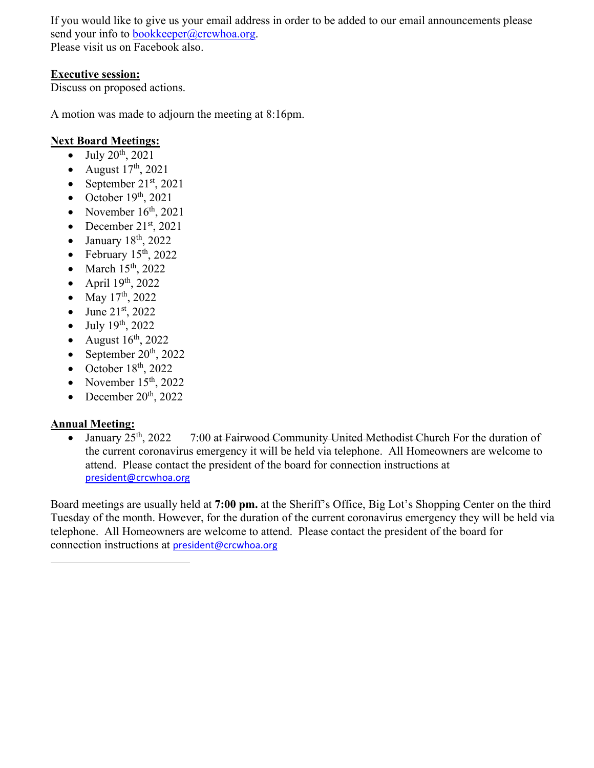If you would like to give us your email address in order to be added to our email announcements please send your info to bookkeeper@crcwhoa.org. Please visit us on Facebook also.

## **Executive session:**

Discuss on proposed actions.

A motion was made to adjourn the meeting at 8:16pm.

## **Next Board Meetings:**

- $-$  July 20<sup>th</sup>, 2021
- August  $17<sup>th</sup>$ , 2021
- September  $21<sup>st</sup>$ , 2021
- $\bullet$  October 19<sup>th</sup>, 2021
- November  $16<sup>th</sup>$ , 2021
- December 21<sup>st</sup>, 2021
- January 18th, 2022
- February  $15<sup>th</sup>$ , 2022
- $\bullet$  March 15<sup>th</sup>, 2022
- April  $19<sup>th</sup>$ , 2022
- May 17<sup>th</sup>, 2022
- June  $21^{st}$ , 2022
- $\bullet$  July 19<sup>th</sup>, 2022
- August  $16<sup>th</sup>$ , 2022
- September  $20^{th}$ , 2022
- October  $18<sup>th</sup>$ , 2022
- November  $15<sup>th</sup>$ , 2022
- December  $20<sup>th</sup>$ , 2022

# **Annual Meeting:**

January 25<sup>th</sup>, 2022 7:00 at Fairwood Community United Methodist Church For the duration of the current coronavirus emergency it will be held via telephone. All Homeowners are welcome to attend. Please contact the president of the board for connection instructions at president@crcwhoa.org

Board meetings are usually held at **7:00 pm.** at the Sheriff's Office, Big Lot's Shopping Center on the third Tuesday of the month. However, for the duration of the current coronavirus emergency they will be held via telephone. All Homeowners are welcome to attend. Please contact the president of the board for connection instructions at president@crcwhoa.org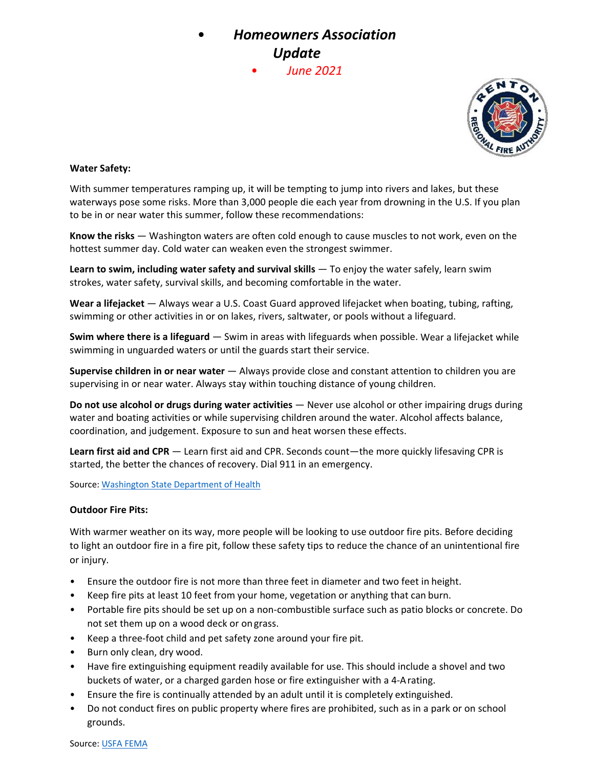# • *Homeowners Association Update*

• *June 2021*



#### **Water Safety:**

With summer temperatures ramping up, it will be tempting to jump into rivers and lakes, but these waterways pose some risks. More than 3,000 people die each year from drowning in the U.S. If you plan to be in or near water this summer, follow these recommendations:

**Know the risks** — Washington waters are often cold enough to cause muscles to not work, even on the hottest summer day. Cold water can weaken even the strongest swimmer.

**Learn to swim, including water safety and survival skills** — To enjoy the water safely, learn swim strokes, water safety, survival skills, and becoming comfortable in the water.

**Wear a lifejacket** — Always wear a U.S. Coast Guard approved lifejacket when boating, tubing, rafting, swimming or other activities in or on lakes, rivers, saltwater, or pools without a lifeguard.

**Swim where there is a lifeguard** — Swim in areas with lifeguards when possible. Wear a lifejacket while swimming in unguarded waters or until the guards start their service.

**Supervise children in or near water** — Always provide close and constant attention to children you are supervising in or near water. Always stay within touching distance of young children.

**Do not use alcohol or drugs during water activities** — Never use alcohol or other impairing drugs during water and boating activities or while supervising children around the water. Alcohol affects balance, coordination, and judgement. Exposure to sun and heat worsen these effects.

**Learn first aid and CPR** — Learn first aid and CPR. Seconds count—the more quickly lifesaving CPR is started, the better the chances of recovery. Dial 911 in an emergency.

Source: Washington State Department of Health

#### **Outdoor Fire Pits:**

With warmer weather on its way, more people will be looking to use outdoor fire pits. Before deciding to light an outdoor fire in a fire pit, follow these safety tips to reduce the chance of an unintentional fire or injury.

- Ensure the outdoor fire is not more than three feet in diameter and two feet in height.
- Keep fire pits at least 10 feet from your home, vegetation or anything that can burn.
- Portable fire pits should be set up on a non-combustible surface such as patio blocks or concrete. Do not set them up on a wood deck or ongrass.
- Keep a three‐foot child and pet safety zone around your fire pit.
- Burn only clean, dry wood.
- Have fire extinguishing equipment readily available for use. This should include a shovel and two buckets of water, or a charged garden hose or fire extinguisher with a 4‐Arating.
- Ensure the fire is continually attended by an adult until it is completely extinguished.
- Do not conduct fires on public property where fires are prohibited, such as in a park or on school grounds.